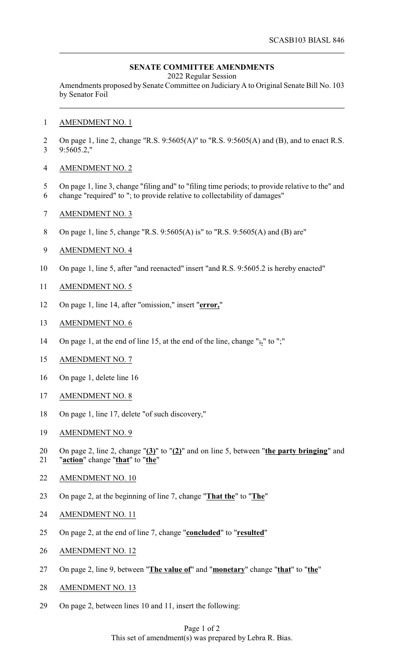## **SENATE COMMITTEE AMENDMENTS**

2022 Regular Session

Amendments proposed by Senate Committee on JudiciaryA to Original Senate Bill No. 103 by Senator Foil

- AMENDMENT NO. 1
- On page 1, line 2, change "R.S. 9:5605(A)" to "R.S. 9:5605(A) and (B), and to enact R.S. 9:5605.2,"
- AMENDMENT NO. 2
- On page 1, line 3, change "filing and" to "filing time periods; to provide relative to the" and
- change "required" to "; to provide relative to collectability of damages"
- AMENDMENT NO. 3
- On page 1, line 5, change "R.S. 9:5605(A) is" to "R.S. 9:5605(A) and (B) are"
- AMENDMENT NO. 4
- On page 1, line 5, after "and reenacted" insert "and R.S. 9:5605.2 is hereby enacted"
- AMENDMENT NO. 5
- On page 1, line 14, after "omission," insert "**error,**"
- AMENDMENT NO. 6
- On page 1, at the end of line 15, at the end of the line, change ";**.**" to ";"
- AMENDMENT NO. 7
- On page 1, delete line 16
- AMENDMENT NO. 8
- On page 1, line 17, delete "of such discovery,"
- AMENDMENT NO. 9
- On page 2, line 2, change "**(3)**" to "**(2)**" and on line 5, between "**the party bringing**" and "**action**" change "**that**" to "**the**"
- AMENDMENT NO. 10
- On page 2, at the beginning of line 7, change "**That the**" to "**The**"
- AMENDMENT NO. 11
- On page 2, at the end of line 7, change "**concluded**" to "**resulted**"
- AMENDMENT NO. 12
- On page 2, line 9, between "**The value of**" and "**monetary**" change "**that**" to "**the**"
- AMENDMENT NO. 13
- On page 2, between lines 10 and 11, insert the following:

## Page 1 of 2 This set of amendment(s) was prepared by Lebra R. Bias.